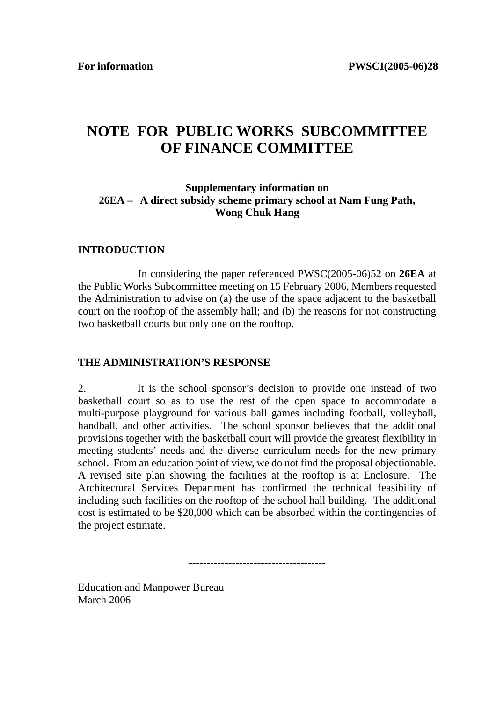## **NOTE FOR PUBLIC WORKS SUBCOMMITTEE OF FINANCE COMMITTEE**

## **Supplementary information on 26EA – A direct subsidy scheme primary school at Nam Fung Path, Wong Chuk Hang**

## **INTRODUCTION**

 In considering the paper referenced PWSC(2005-06)52 on **26EA** at the Public Works Subcommittee meeting on 15 February 2006, Members requested the Administration to advise on (a) the use of the space adjacent to the basketball court on the rooftop of the assembly hall; and (b) the reasons for not constructing two basketball courts but only one on the rooftop.

## **THE ADMINISTRATION'S RESPONSE**

2. It is the school sponsor's decision to provide one instead of two basketball court so as to use the rest of the open space to accommodate a multi-purpose playground for various ball games including football, volleyball, handball, and other activities. The school sponsor believes that the additional provisions together with the basketball court will provide the greatest flexibility in meeting students' needs and the diverse curriculum needs for the new primary school. From an education point of view, we do not find the proposal objectionable. A revised site plan showing the facilities at the rooftop is at Enclosure. The Architectural Services Department has confirmed the technical feasibility of including such facilities on the rooftop of the school hall building. The additional cost is estimated to be \$20,000 which can be absorbed within the contingencies of the project estimate.

--------------------------------------

Education and Manpower Bureau March 2006